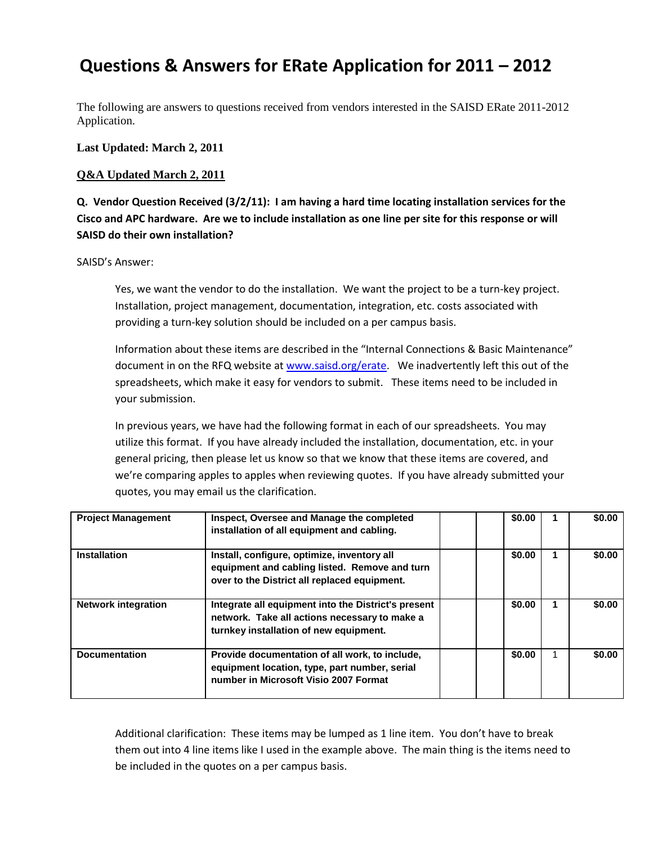# **Questions & Answers for ERate Application for 2011 – 2012**

The following are answers to questions received from vendors interested in the SAISD ERate 2011-2012 Application.

**Last Updated: March 2, 2011**

#### **Q&A Updated March 2, 2011**

**Q. Vendor Question Received (3/2/11): I am having a hard time locating installation services for the Cisco and APC hardware. Are we to include installation as one line per site for this response or will SAISD do their own installation?**

#### SAISD's Answer:

Yes, we want the vendor to do the installation. We want the project to be a turn-key project. Installation, project management, documentation, integration, etc. costs associated with providing a turn-key solution should be included on a per campus basis.

Information about these items are described in the "Internal Connections & Basic Maintenance" document in on the RFQ website a[t www.saisd.org/erate.](http://www.saisd.org/erate) We inadvertently left this out of the spreadsheets, which make it easy for vendors to submit. These items need to be included in your submission.

In previous years, we have had the following format in each of our spreadsheets. You may utilize this format. If you have already included the installation, documentation, etc. in your general pricing, then please let us know so that we know that these items are covered, and we're comparing apples to apples when reviewing quotes. If you have already submitted your quotes, you may email us the clarification.

| <b>Project Management</b>  | Inspect, Oversee and Manage the completed<br>installation of all equipment and cabling.                                                        | \$0.00 | \$0.00 |
|----------------------------|------------------------------------------------------------------------------------------------------------------------------------------------|--------|--------|
| <b>Installation</b>        | Install, configure, optimize, inventory all<br>equipment and cabling listed. Remove and turn<br>over to the District all replaced equipment.   | \$0.00 | \$0.00 |
| <b>Network integration</b> | Integrate all equipment into the District's present<br>network. Take all actions necessary to make a<br>turnkey installation of new equipment. | \$0.00 | \$0.00 |
| <b>Documentation</b>       | Provide documentation of all work, to include,<br>equipment location, type, part number, serial<br>number in Microsoft Visio 2007 Format       | \$0.00 | \$0.00 |

Additional clarification: These items may be lumped as 1 line item. You don't have to break them out into 4 line items like I used in the example above. The main thing is the items need to be included in the quotes on a per campus basis.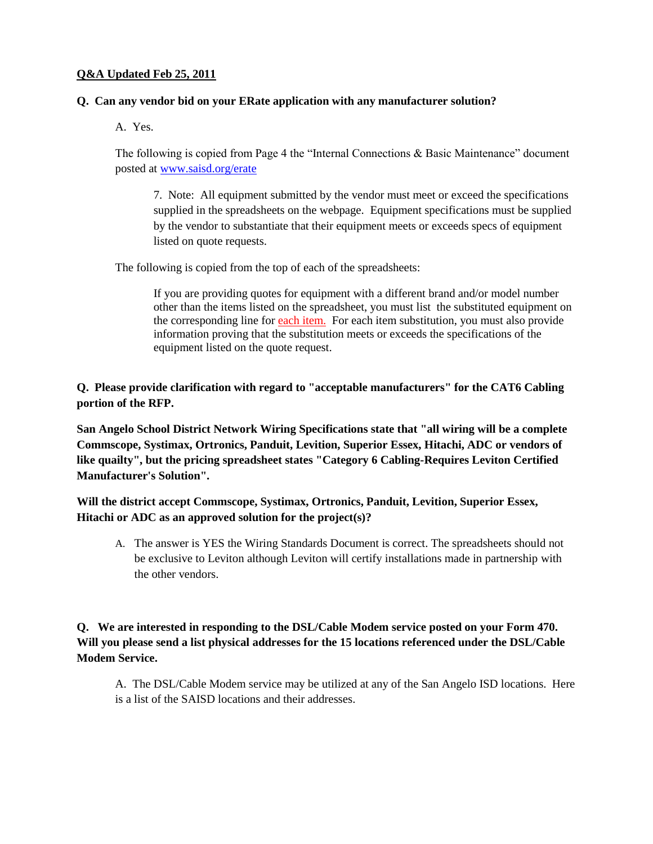### **Q&A Updated Feb 25, 2011**

### **Q. Can any vendor bid on your ERate application with any manufacturer solution?**

A. Yes.

The following is copied from Page 4 the "Internal Connections & Basic Maintenance" document posted at [www.saisd.org/erate](http://www.saisd.org/erate)

7. Note: All equipment submitted by the vendor must meet or exceed the specifications supplied in the spreadsheets on the webpage. Equipment specifications must be supplied by the vendor to substantiate that their equipment meets or exceeds specs of equipment listed on quote requests.

The following is copied from the top of each of the spreadsheets:

If you are providing quotes for equipment with a different brand and/or model number other than the items listed on the spreadsheet, you must list the substituted equipment on the corresponding line for each item. For each item substitution, you must also provide information proving that the substitution meets or exceeds the specifications of the equipment listed on the quote request.

**Q. Please provide clarification with regard to "acceptable manufacturers" for the CAT6 Cabling portion of the RFP.**

**San Angelo School District Network Wiring Specifications state that "all wiring will be a complete Commscope, Systimax, Ortronics, Panduit, Levition, Superior Essex, Hitachi, ADC or vendors of like quailty", but the pricing spreadsheet states "Category 6 Cabling-Requires Leviton Certified Manufacturer's Solution".** 

**Will the district accept Commscope, Systimax, Ortronics, Panduit, Levition, Superior Essex, Hitachi or ADC as an approved solution for the project(s)?** 

A. The answer is YES the Wiring Standards Document is correct. The spreadsheets should not be exclusive to Leviton although Leviton will certify installations made in partnership with the other vendors.

## **Q. We are interested in responding to the DSL/Cable Modem service posted on your Form 470. Will you please send a list physical addresses for the 15 locations referenced under the DSL/Cable Modem Service.**

A. The DSL/Cable Modem service may be utilized at any of the San Angelo ISD locations. Here is a list of the SAISD locations and their addresses.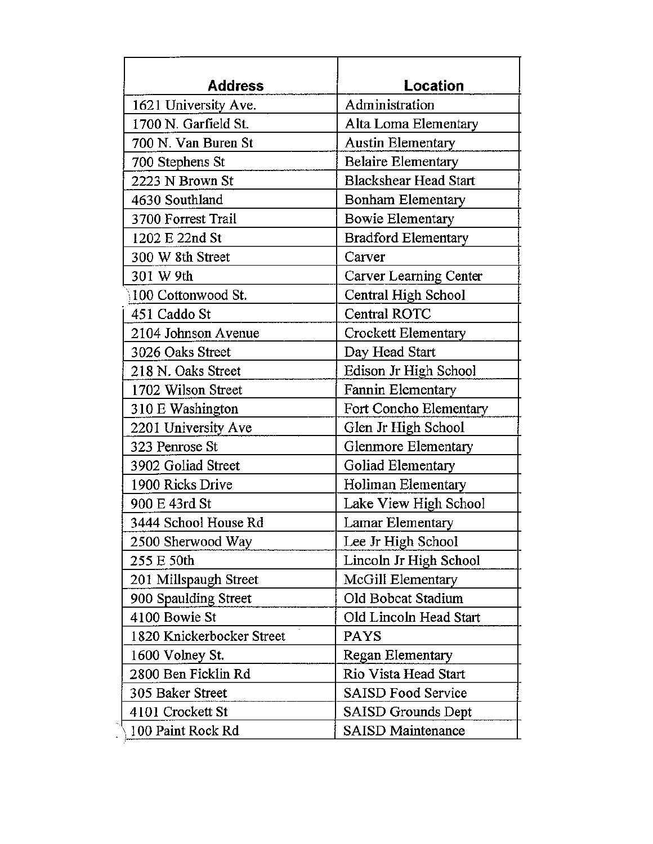| <b>Address</b>            | Location                     |
|---------------------------|------------------------------|
| 1621 University Ave.      | Administration               |
| 1700 N. Garfield St.      | Alta Loma Elementary         |
| 700 N. Van Buren St       | <b>Austin Elementary</b>     |
| 700 Stephens St           | <b>Belaire Elementary</b>    |
| 2223 N Brown St           | <b>Blackshear Head Start</b> |
| 4630 Southland            | <b>Bonham Elementary</b>     |
| 3700 Forrest Trail        | Bowie Elementary             |
| 1202 E 22nd St            | <b>Bradford Elementary</b>   |
| 300 W 8th Street          | Carver                       |
| 301 W 9th                 | Carver Learning Center       |
| 100 Cottonwood St.        | Central High School          |
| 451 Caddo St              | Central ROTC                 |
| 2104 Johnson Avenue       | Crockett Elementary          |
| 3026 Oaks Street          | Day Head Start               |
| 218 N. Oaks Street        | Edison Jr High School        |
| 1702 Wilson Street        | Fannin Elementary            |
| 310 E Washington          | Fort Concho Elementary       |
| 2201 University Ave       | Glen Jr High School          |
| 323 Penrose St            | Glenmore Elementary          |
| 3902 Goliad Street        | Goliad Elementary            |
| 1900 Ricks Drive          | Holiman Elementary           |
| 900 E 43rd St             | Lake View High School        |
| 3444 School House Rd      | Lamar Elementary             |
| 2500 Sherwood Way         | Lee Jr High School           |
| 255 E 50th                | Lincoln Jr High School       |
| 201 Millspaugh Street     | McGill Elementary            |
| 900 Spaulding Street      | Old Bobcat Stadium           |
| 4100 Bowie St             | Old Lincoln Head Start       |
| 1820 Knickerbocker Street | <b>PAYS</b>                  |
| 1600 Volney St.           | Regan Elementary             |
| 2800 Ben Ficklin Rd       | Rio Vista Head Start         |
| 305 Baker Street          | <b>SAISD Food Service</b>    |
| 4101 Crockett St          | SAISD Grounds Dept           |
| 100 Paint Rock Rd         | <b>SAISD Maintenance</b>     |